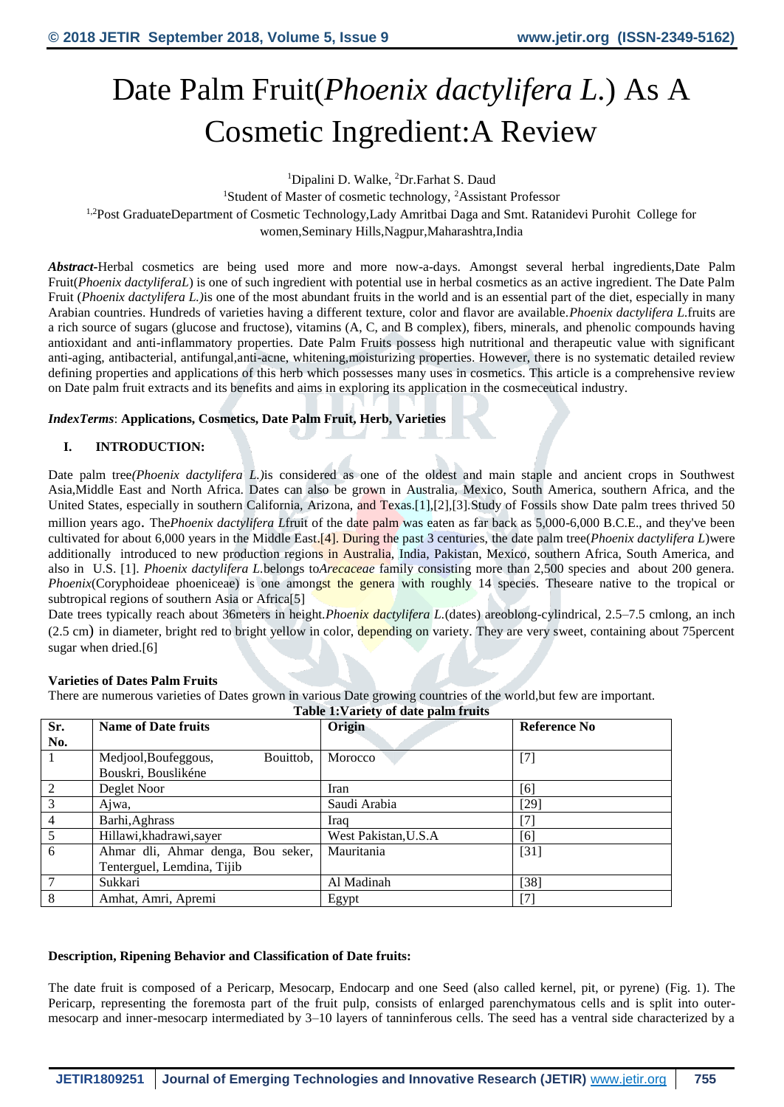# Date Palm Fruit(*Phoenix dactylifera L.*) As A Cosmetic Ingredient:A Review

<sup>1</sup>Dipalini D. Walke, <sup>2</sup>Dr.Farhat S. Daud

<sup>1</sup>Student of Master of cosmetic technology, <sup>2</sup>Assistant Professor <sup>1,2</sup>Post GraduateDepartment of Cosmetic Technology,Lady Amritbai Daga and Smt. Ratanidevi Purohit College for women,Seminary Hills,Nagpur,Maharashtra,India

*Abstract***-**Herbal cosmetics are being used more and more now-a-days. Amongst several herbal ingredients,Date Palm Fruit(*Phoenix dactyliferaL*) is one of such ingredient with potential use in herbal cosmetics as an active ingredient. The Date Palm Fruit (*Phoenix dactylifera L.*) is one of the most abundant fruits in the world and is an essential part of the diet, especially in many Arabian countries. Hundreds of varieties having a different texture, color and flavor are available.*Phoenix dactylifera L.*fruits are a rich source of sugars (glucose and fructose), vitamins (A, C, and B complex), fibers, minerals, and phenolic compounds having antioxidant and anti-inflammatory properties. Date Palm Fruits possess high nutritional and therapeutic value with significant anti-aging, antibacterial, antifungal,anti-acne, whitening,moisturizing properties. However, there is no systematic detailed review defining properties and applications of this herb which possesses many uses in cosmetics. This article is a comprehensive review on Date palm fruit extracts and its benefits and aims in exploring its application in the cosmeceutical industry.

*IndexTerms*: **Applications, Cosmetics, Date Palm Fruit, Herb, Varieties**

# **I. INTRODUCTION:**

Date palm tree*(Phoenix dactylifera L.)*is considered as one of the oldest and main staple and ancient crops in Southwest Asia,Middle East and North Africa. Dates can also be grown in Australia, Mexico, South America, southern Africa, and the United States, especially in southern California, Arizona, and Texas.[1],[2],[3].Study of Fossils show Date palm trees thrived 50 million years ago. The *Phoenix dactylifera* Lifruit of the date palm was eaten as far back as 5,000-6,000 B.C.E., and they've been cultivated for about 6,000 years in the Middle East.[4]. During the past 3 centuries, the date palm tree(*Phoenix dactylifera L*)were additionally introduced to new production regions in Australia, India, Pakistan, Mexico, southern Africa, South America, and also in U.S. [1]. *Phoenix dactylifera L.*belongs to*Arecaceae* family consisting more than 2,500 species and about 200 genera. *Phoenix*(Coryphoideae phoeniceae) is one amongst the genera with roughly 14 species. Theseare native to the tropical or subtropical regions of southern Asia or Africa<sup>[5]</sup>

Date trees typically reach about 36meters in height.*Phoenix dactylifera L.*(dates) areoblong-cylindrical, 2.5–7.5 cmlong, an inch (2.5 cm) in diameter, bright red to bright yellow in color, depending on variety. They are very sweet, containing about 75 percent sugar when dried.[6]

#### **Varieties of Dates Palm Fruits**

There are numerous varieties of Dates grown in various Date growing countries of the world,but few are important.

|                | Table 1: Variety of date palm fruits |                      |                              |  |  |
|----------------|--------------------------------------|----------------------|------------------------------|--|--|
| Sr.            | <b>Name of Date fruits</b>           | Origin               | Reference No                 |  |  |
| No.            |                                      |                      |                              |  |  |
|                | Medjool, Boufeggous,<br>Bouittob,    | Morocco              | $[7]$                        |  |  |
|                | Bouskri, Bouslikéne                  |                      |                              |  |  |
| 2              | Deglet Noor                          | Iran                 | [6]                          |  |  |
| 3              | Ajwa,                                | Saudi Arabia         | $[29]$                       |  |  |
| $\overline{4}$ | Barhi, Aghrass                       | Iraq                 | $\left\lceil 7 \right\rceil$ |  |  |
| 5              | Hillawi, khadrawi, sayer             | West Pakistan, U.S.A | [6]                          |  |  |
| 6              | Ahmar dli, Ahmar denga, Bou seker,   | Mauritania           | $[31]$                       |  |  |
|                | Tenterguel, Lemdina, Tijib           |                      |                              |  |  |
| $\overline{7}$ | Sukkari                              | Al Madinah           | [38]                         |  |  |
| 8              | Amhat, Amri, Apremi                  | Egypt                |                              |  |  |

#### **Description, Ripening Behavior and Classification of Date fruits:**

The date fruit is composed of a Pericarp, Mesocarp, Endocarp and one Seed (also called kernel, pit, or pyrene) [\(Fig. 1\)](https://www.sciencedirect.com/science/article/pii/S2352364616300463#f0005). The Pericarp, representing the foremosta part of the fruit pulp, consists of enlarged parenchymatous cells and is split into outermesocarp and inner-mesocarp intermediated by 3–10 layers of tanninferous cells. The seed has a ventral side characterized by a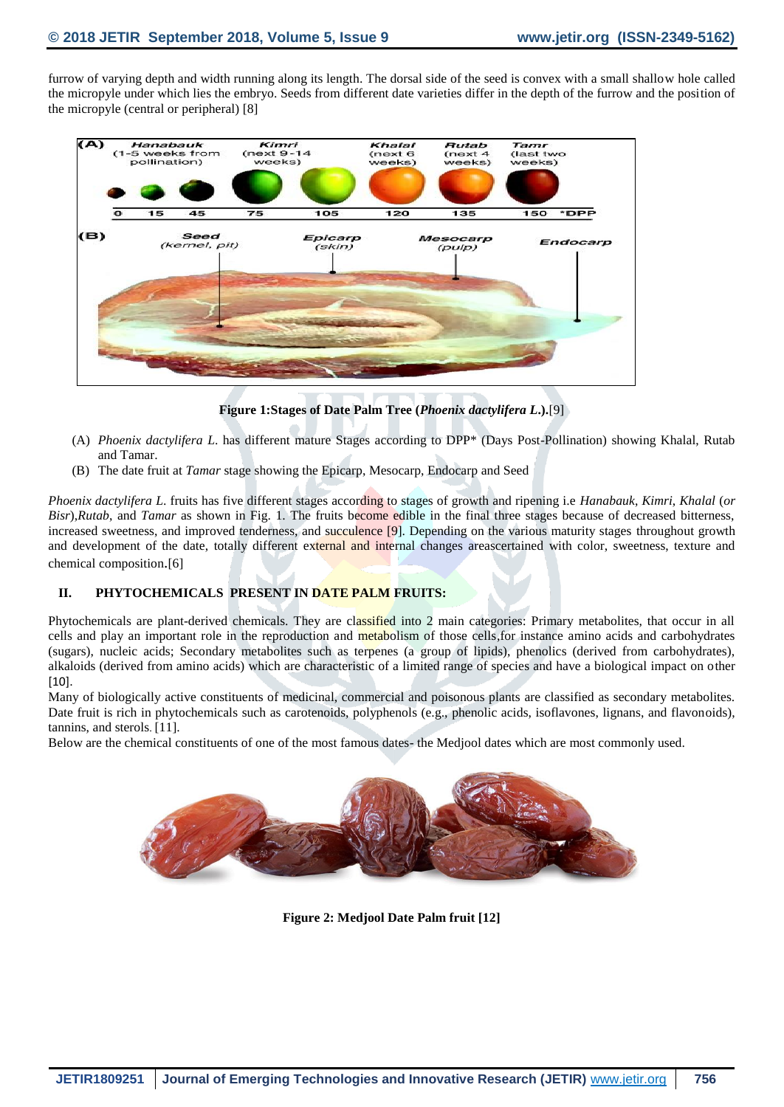furrow of varying depth and width running along its length. The dorsal side of the seed is convex with a small shallow hole called the micropyle under which lies the embryo. Seeds from different date varieties differ in the depth of the furrow and the position of the micropyle (central or peripheral) [8]



**Figure 1:Stages of Date Palm Tree (***Phoenix dactylifera L***.).**[9]

- (A) *Phoenix dactylifera L*. has different mature Stages according to DPP\* (Days Post-Pollination) showing Khalal, Rutab and Tamar.
- (B) The date fruit at *Tamar* stage showing the Epicarp, Mesocarp, Endocarp and Seed

*Phoenix dactylifera L*. fruits has five different stages according to stages of growth and ripening i.e *Hanabauk*, *Kimri*, *Khalal* (*or Bisr*),*Rutab*, and *Tamar* as shown in Fig. 1. The fruits become edible in the final three stages because of decreased bitterness, increased sweetness, and improved tenderness, and succulence [9]. Depending on the various maturity stages throughout growth and development of the date, totally different external and internal changes areascertained with color, sweetness, texture and chemical composition.[6]

# **II. PHYTOCHEMICALS PRESENT IN DATE PALM FRUITS:**

Phytochemicals are plant-derived chemicals. They are classified into 2 main categories: Primary metabolites, that occur in all cells and play an important role in the reproduction and metabolism of those cells, for instance amino acids and carbohydrates (sugars), nucleic acids; Secondary metabolites such as terpenes (a group of lipids), phenolics (derived from carbohydrates), alkaloids (derived from amino acids) which are characteristic of a limited range of species and have a biological impact on other  $[10]$ .

Many of biologically active constituents of medicinal, commercial and poisonous plants are classified as secondary metabolites. Date fruit is rich in phytochemicals such as carotenoids, polyphenols (e.g., phenolic acids, isoflavones, lignans, and flavonoids), tannins, and sterols. [11].

Below are the chemical constituents of one of the most famous dates- the Medjool dates which are most commonly used.



**Figure 2: Medjool Date Palm fruit [12]**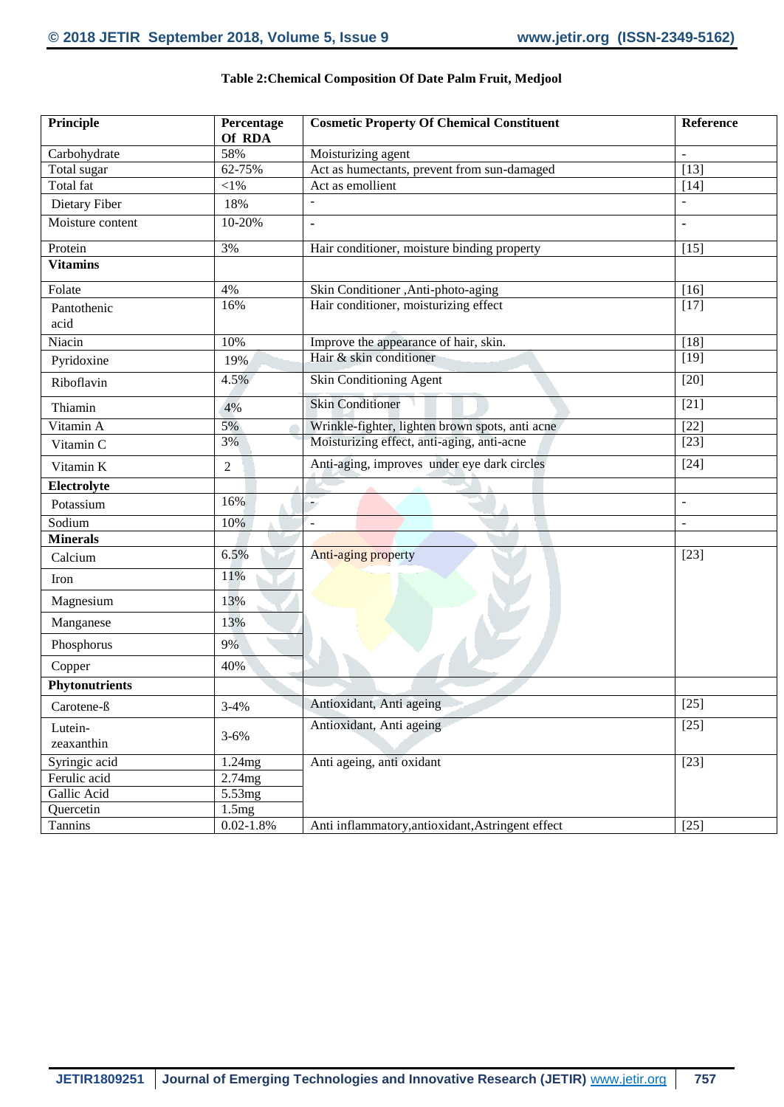| Principle             | Percentage<br>Of RDA | <b>Cosmetic Property Of Chemical Constituent</b>  | Reference      |
|-----------------------|----------------------|---------------------------------------------------|----------------|
| Carbohydrate          | 58%                  | Moisturizing agent                                |                |
| Total sugar           | 62-75%               | Act as humectants, prevent from sun-damaged       | [13]           |
| Total fat             | $<$ l $%$            | Act as emollient                                  | $[14]$         |
| Dietary Fiber         | 18%                  |                                                   |                |
| Moisture content      | 10-20%               | $\blacksquare$                                    | $\blacksquare$ |
| Protein               | 3%                   | Hair conditioner, moisture binding property       | $[15]$         |
| <b>Vitamins</b>       |                      |                                                   |                |
| Folate                | 4%                   | Skin Conditioner , Anti-photo-aging               | $[16]$         |
| Pantothenic           | 16%                  | Hair conditioner, moisturizing effect             | $[17]$         |
| acid                  |                      |                                                   |                |
| Niacin                | 10%                  | Improve the appearance of hair, skin.             | $[18]$         |
| Pyridoxine            | 19%                  | Hair & skin conditioner                           | $[19]$         |
| Riboflavin            | 4.5%                 | Skin Conditioning Agent                           | $[20]$         |
| Thiamin               | 4%                   | <b>Skin Conditioner</b>                           | $[21]$         |
| Vitamin A             | 5%                   | Wrinkle-fighter, lighten brown spots, anti acne   | $[22]$         |
| Vitamin C             | 3%                   | Moisturizing effect, anti-aging, anti-acne        | $[23]$         |
| Vitamin K             | $\mathfrak{2}$       | Anti-aging, improves under eye dark circles       | $[24]$         |
| Electrolyte           |                      |                                                   |                |
| Potassium             | 16%                  |                                                   | $\sim$         |
| Sodium                | 10%                  | $\overline{a}$                                    | $\sim$         |
| <b>Minerals</b>       |                      |                                                   |                |
| Calcium               | 6.5%                 | Anti-aging property                               | $[23]$         |
| Iron                  | 11%                  |                                                   |                |
| Magnesium             | 13%                  |                                                   |                |
| Manganese             | 13%                  |                                                   |                |
| Phosphorus            | 9%                   |                                                   |                |
| Copper                | 40%                  |                                                   |                |
| <b>Phytonutrients</b> |                      |                                                   |                |
| Carotene-ß            | $3 - 4%$             | Antioxidant, Anti ageing                          | $[25]$         |
| Lutein-               | $3 - 6\%$            | Antioxidant, Anti ageing                          | $[25]$         |
| zeaxanthin            |                      |                                                   |                |
| Syringic acid         | 1.24mg               | Anti ageing, anti oxidant                         | $[23]$         |
| Ferulic acid          | 2.74mg               |                                                   |                |
| Gallic Acid           | 5.53mg               |                                                   |                |
| Quercetin             | 1.5mg                |                                                   |                |
| Tannins               | $0.02 - 1.8\%$       | Anti inflammatory, antioxidant, Astringent effect | $[25]$         |

### **Table 2:Chemical Composition Of Date Palm Fruit, Medjool**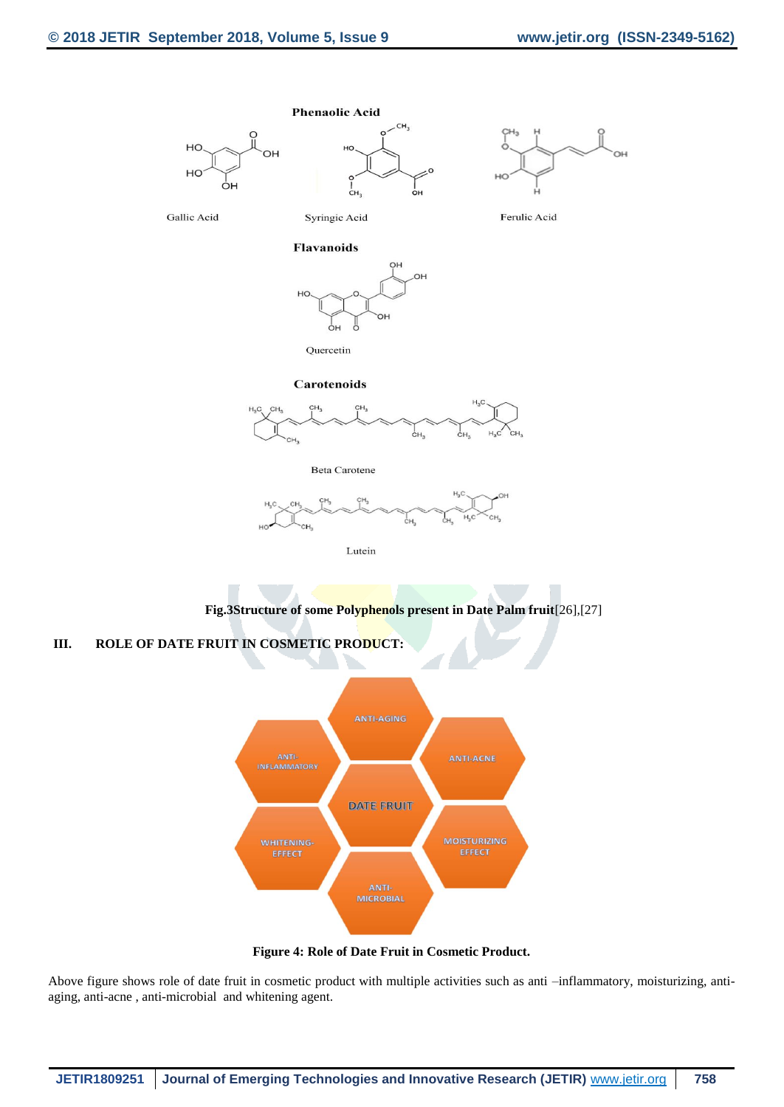





Gallic Acid

Syringic Acid

 $\frac{1}{C}H$ 

Ferulic Acid

#### **Flavanoids**





#### Carotenoids



**Beta Carotene** 



Lutein

**Fig.3Structure of some Polyphenols present in Date Palm fruit**[26],[27]

# **III. ROLE OF DATE FRUIT IN COSMETIC PRODUCT:**



**Figure 4: Role of Date Fruit in Cosmetic Product.**

Above figure shows role of date fruit in cosmetic product with multiple activities such as anti –inflammatory, moisturizing, antiaging, anti-acne , anti-microbial and whitening agent.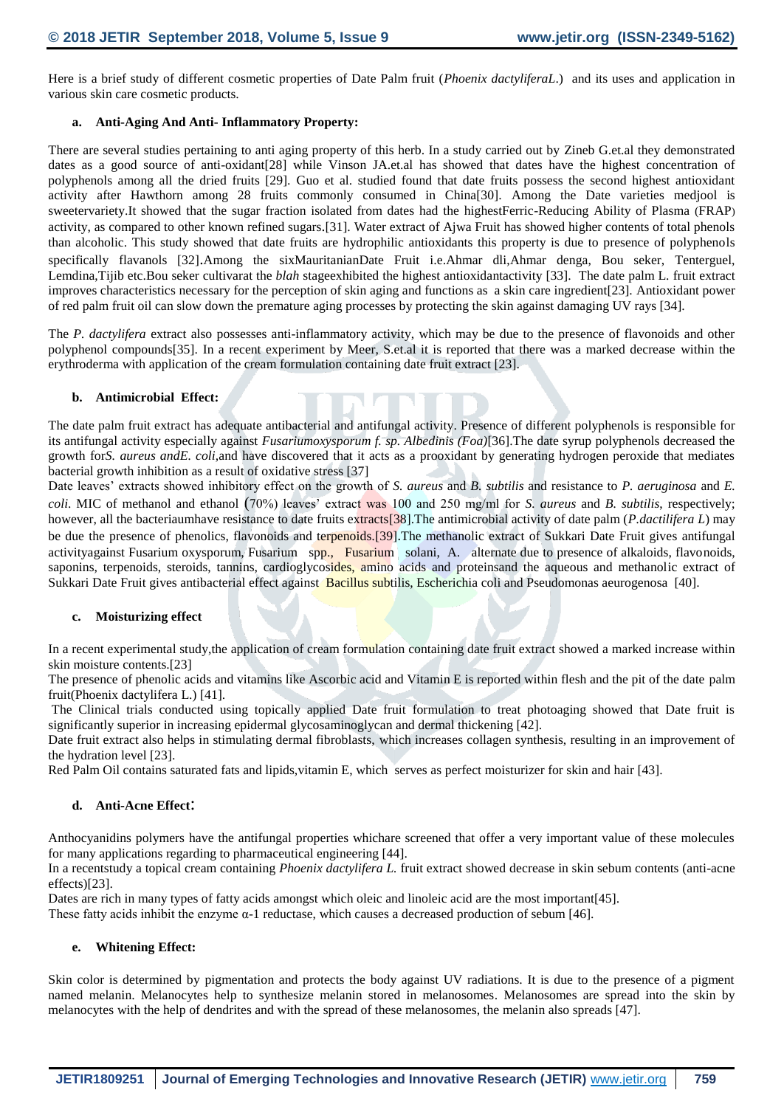Here is a brief study of different cosmetic properties of Date Palm fruit (*Phoenix dactyliferaL*.) and its uses and application in various skin care cosmetic products.

#### **a. Anti-Aging And Anti- Inflammatory Property:**

There are several studies pertaining to anti aging property of this herb. In a study carried out by Zineb G.et.al they demonstrated dates as a good source of anti-oxidant[28] while Vinson JA.et.al has showed that dates have the highest concentration of polyphenols among all the dried fruits [29]. Guo et al. studied found that date fruits possess the second highest antioxidant activity after Hawthorn among 28 fruits commonly consumed in China[30]. Among the Date varieties medjool is sweetervariety.It showed that the sugar fraction isolated from dates had the highestFerric-Reducing Ability of Plasma (FRAP) activity, as compared to other known refined sugars.[31]. Water extract of Ajwa Fruit has showed higher contents of total phenols than alcoholic. This study showed that date fruits are hydrophilic antioxidants this property is due to presence of polyphenols specifically flavanols [32].Among the sixMauritanianDate Fruit i.e.Ahmar dli,Ahmar denga, Bou seker, Tenterguel, Lemdina,Tijib etc.Bou seker cultivarat the *blah* stageexhibited the highest antioxidantactivity [33]. The date palm L. fruit extract improves characteristics necessary for the perception of skin aging and functions as a skin care ingredient[23]. Antioxidant power of red palm fruit oil can slow down the premature aging processes by protecting the skin against damaging UV rays [34].

The *P. dactylifera* extract also possesses anti-inflammatory activity, which may be due to the presence of flavonoids and other polyphenol compounds[35]. In a recent experiment by Meer, S.et.al it is reported that there was a marked decrease within the erythroderma with application of the cream formulation containing date fruit extract [23].

#### **b. Antimicrobial Effect:**

The date palm fruit extract has adequate antibacterial and antifungal activity. Presence of different polyphenols is responsible for its antifungal activity especially against *Fusariumoxysporum f. sp. Albedinis (Foa)*[36].The date syrup polyphenols decreased the growth for*S. aureus andE. coli*,and have discovered that it acts as a prooxidant by generating hydrogen peroxide that mediates bacterial growth inhibition as a result of oxidative stress [37]

Date leaves' extracts showed inhibitory effect on the growth of *S. aureus* and *B. subtilis* and resistance to *P. aeruginosa* and *E. coli*. MIC of methanol and ethanol (70%) leaves' extract was 100 and 250 mg/ml for *S. aureus* and *B. subtilis*, respectively; however, all the bacteriaumhave resistance to date fruits extracts[38].The antimicrobial activity of date palm (*P.dactilifera L*) may be due the presence of phenolics, flavonoids and terpenoids*.*[39].The methanolic extract of Sukkari Date Fruit gives antifungal activityagainst Fusarium oxysporum, Fusarium spp., Fusarium solani, A. alternate due to presence of alkaloids, flavonoids, saponins, terpenoids, steroids, tannins, cardioglycosides, amino acids and proteinsand the aqueous and methanolic extract of Sukkari Date Fruit gives antibacterial effect against Bacillus subtilis, Escherichia coli and Pseudomonas aeurogenosa [40].

#### **c. Moisturizing effect**

In a recent experimental study,the application of cream formulation containing date fruit extract showed a marked increase within skin moisture contents.[23]

The presence of phenolic acids and vitamins like Ascorbic acid and Vitamin E is reported within flesh and the pit of the date palm fruit(Phoenix dactylifera L.) [41].

The Clinical trials conducted using topically applied Date fruit formulation to treat photoaging showed that Date fruit is significantly superior in increasing epidermal glycosaminoglycan and dermal thickening [42].

Date fruit extract also helps in stimulating dermal fibroblasts, which increases collagen synthesis, resulting in an improvement of the hydration level [23].

Red Palm Oil contains saturated fats and lipids,vitamin E, which serves as perfect moisturizer for skin and hair [43].

# **d. Anti-Acne Effect**:

Anthocyanidins polymers have the antifungal properties whichare screened that offer a very important value of these molecules for many applications regarding to pharmaceutical engineering [44].

In a recentstudy a topical cream containing *Phoenix dactylifera L.* fruit extract showed decrease in skin sebum contents (anti-acne effects)[23].

Dates are rich in many types of fatty acids amongst which oleic and linoleic acid are the most important [45].

These fatty acids inhibit the enzyme  $\alpha$ -1 reductase, which causes a decreased production of sebum [46].

#### **e. Whitening Effect:**

Skin color is determined by pigmentation and protects the body against UV radiations. It is due to the presence of a pigment named melanin. Melanocytes help to synthesize melanin stored in melanosomes. Melanosomes are spread into the skin by melanocytes with the help of dendrites and with the spread of these melanosomes, the melanin also spreads [47].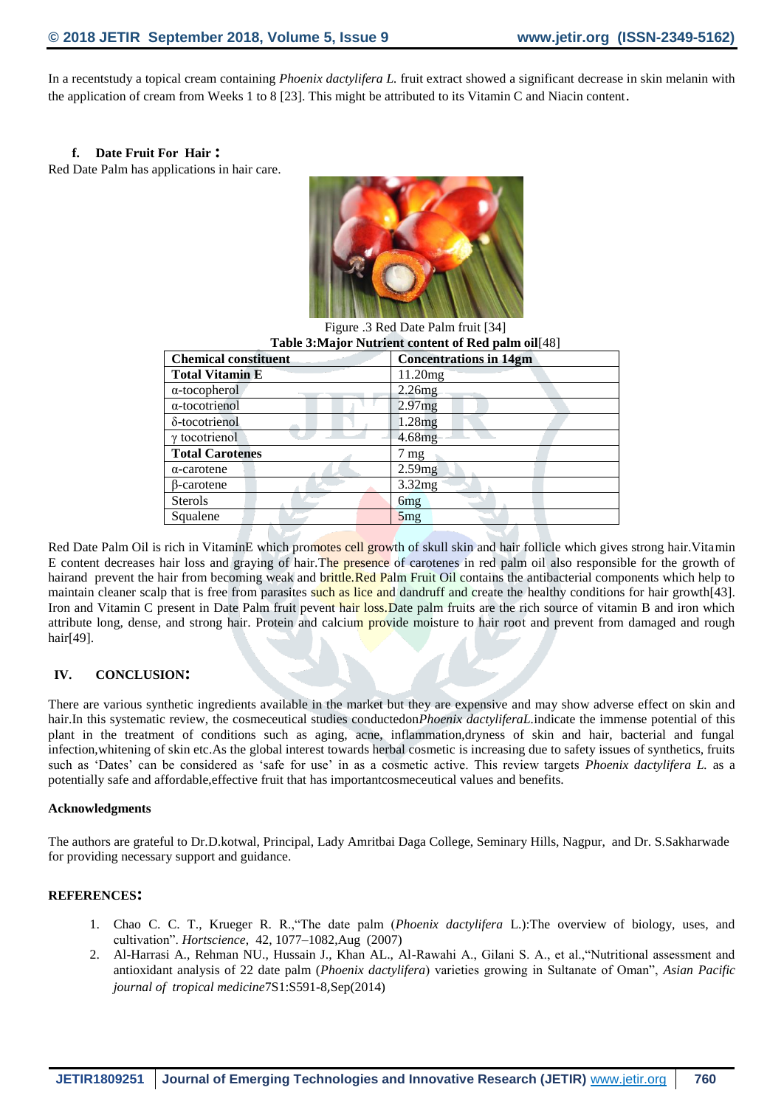In a recentstudy a topical cream containing *Phoenix dactylifera L.* fruit extract showed a significant decrease in skin melanin with the application of cream from Weeks 1 to 8 [23]. This might be attributed to its Vitamin C and Niacin content.

#### **f. Date Fruit For Hair :**

Red Date Palm has applications in hair care.



Figure .3 Red Date Palm fruit [34]

| Table 3: Major Nutrient content of Red palm oil [48] |                               |  |  |  |
|------------------------------------------------------|-------------------------------|--|--|--|
| <b>Chemical constituent</b>                          | <b>Concentrations in 14gm</b> |  |  |  |
| <b>Total Vitamin E</b>                               | 11.20mg                       |  |  |  |
| $\alpha$ -tocopherol                                 | 2.26mg                        |  |  |  |
| $\alpha$ -tocotrienol                                | 2.97mg                        |  |  |  |
| δ-tocotrienol                                        | 1.28mg                        |  |  |  |
| $\gamma$ to cotrienol                                | 4.68mg                        |  |  |  |
| <b>Total Carotenes</b>                               | $7 \text{ mg}$                |  |  |  |
| $\alpha$ -carotene                                   | 2.59mg                        |  |  |  |
| β-carotene                                           | 3.32mg                        |  |  |  |
| <b>Sterols</b>                                       | 6 <sub>mg</sub>               |  |  |  |
| Squalene                                             | 5mg                           |  |  |  |

Red Date Palm Oil is rich in VitaminE which promotes cell growth of skull skin and hair follicle which gives strong hair. Vitamin E content decreases hair loss and graying of hair.The presence of carotenes in red palm oil also responsible for the growth of hairand prevent the hair from becoming weak and brittle.Red Palm Fruit Oil contains the antibacterial components which help to maintain cleaner scalp that is free from parasites such as lice and dandruff and create the healthy conditions for hair growth[43]. Iron and Vitamin C present in Date Palm fruit pevent hair loss. Date palm fruits are the rich source of vitamin B and iron which attribute long, dense, and strong hair. Protein and calcium provide moisture to hair root and prevent from damaged and rough hair[49].

#### **IV. CONCLUSION:**

There are various synthetic ingredients available in the market but they are expensive and may show adverse effect on skin and hair.In this systematic review, the cosmeceutical studies conductedon*Phoenix dactyliferaL.*indicate the immense potential of this plant in the treatment of conditions such as aging, acne, inflammation,dryness of skin and hair, bacterial and fungal infection,whitening of skin etc.As the global interest towards herbal cosmetic is increasing due to safety issues of synthetics, fruits such as 'Dates' can be considered as 'safe for use' in as a cosmetic active. This review targets *Phoenix dactylifera L.* as a potentially safe and affordable,effective fruit that has importantcosmeceutical values and benefits.

#### **Acknowledgments**

The authors are grateful to Dr.D.kotwal, Principal, Lady Amritbai Daga College, Seminary Hills, Nagpur, and Dr. S.Sakharwade for providing necessary support and guidance.

#### **REFERENCES:**

- 1. Chao C. C. T., Krueger R. R.,"The date palm (*Phoenix dactylifera* L.):The overview of biology, uses, and cultivation". *Hortscience*, 42, 1077–1082,Aug (2007)
- 2. Al-Harrasi A., Rehman NU., Hussain J., Khan AL., Al-Rawahi A., Gilani S. A., et al.,"Nutritional assessment and antioxidant analysis of 22 date palm (*Phoenix dactylifera*) varieties growing in Sultanate of Oman", *Asian Pacific journal of tropical medicine*7S1:S591-8,Sep(2014)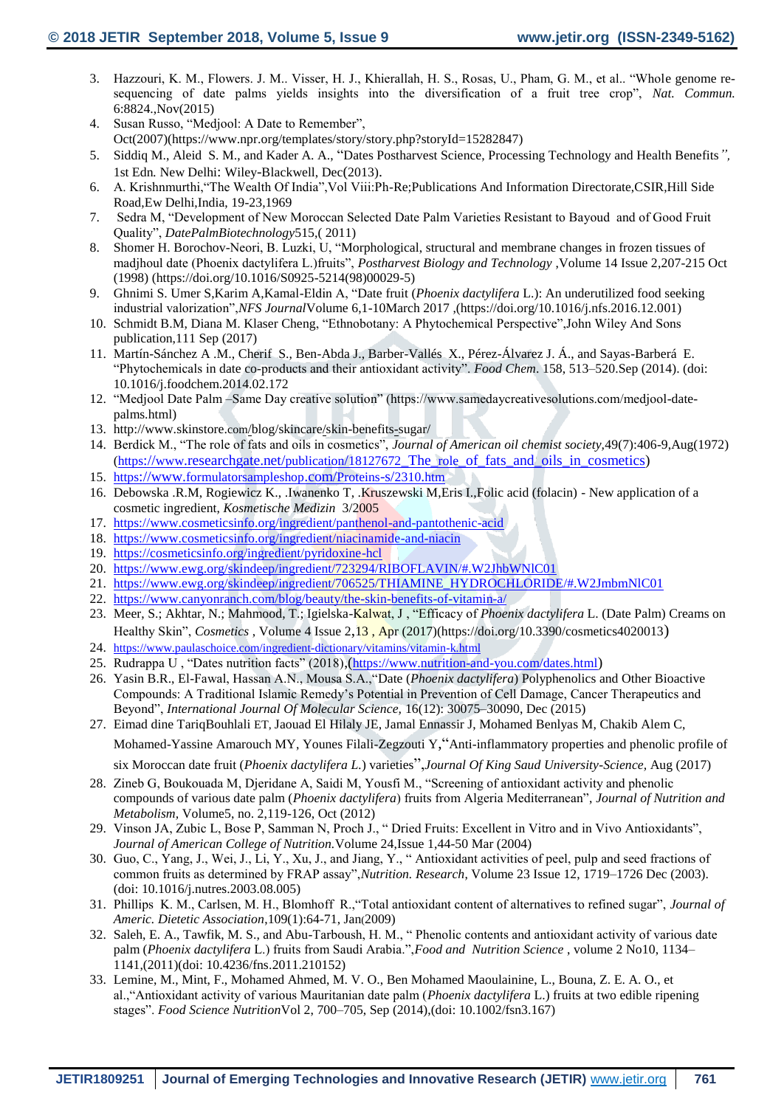- 3. Hazzouri, K. M., Flowers. J. M.. Visser, H. J., Khierallah, H. S., Rosas, U., Pham, G. M., et al.. "Whole genome resequencing of date palms yields insights into the diversification of a fruit tree crop", *Nat. Commun.* 6:8824.,Nov(2015)
- 4. Susan Russo, "Medjool: A Date to Remember", Oct(2007)(https://www.npr.org/templates/story/story.php?storyId=15282847)
- 5. Siddiq M., Aleid S. M., and Kader A. A., "Dates Postharvest Science, Processing Technology and Health Benefits*",*  1st Edn*.* New Delhi: Wiley-Blackwell, Dec(2013).
- 6. A. Krishnmurthi,"The Wealth Of India",Vol Viii:Ph-Re;Publications And Information Directorate,CSIR,Hill Side Road,Ew Delhi,India, 19-23,1969
- 7. Sedra M, "Development of New Moroccan Selected Date Palm Varieties Resistant to Bayoud and of Good Fruit Quality", *[DatePalmBiotechnology](https://link.springer.com/book/10.1007/978-94-007-1318-5)*515,( 2011)
- 8. Shomer H. Borochov-Neori, B. Luzki, U, "Morphological, structural and membrane changes in frozen tissues of madjhoul date (Phoenix dactylifera L.)fruits", *Postharvest Biology and Technology* ,Volume 14 Issue 2,207-215 Oct (1998) (https://doi.org/10.1016/S0925-5214(98)00029-5)
- 9. Ghnimi S. Umer S,Karim A,Kamal-Eldin A, "Date fruit (*Phoenix dactylifera* L.): An underutilized food seeking industrial valorization",*NFS Journal*Volume 6,1-10March 2017 ,(https://doi.org/10.1016/j.nfs.2016.12.001)
- 10. Schmidt B.M, Diana M. Klaser Cheng, "Ethnobotany: A Phytochemical Perspective",John Wiley And Sons publication,111 Sep (2017)
- 11. Martín-Sánchez A .M., Cherif S., Ben-Abda J., Barber-Vallés X., Pérez-Álvarez J. Á., and Sayas-Barberá E. "Phytochemicals in date co-products and their antioxidant activity". *Food Chem*. 158, 513–520.Sep (2014). (doi: 10.1016/j.foodchem.2014.02.172
- 12. "Medjool Date Palm –Same Day creative solution" (https://www.samedaycreativesolutions.com/medjool-datepalms.html)
- 13. http://www.skinstore.com[/blog/skincare/skin-benefits-sugar/](http://www.skinstore.com/blog/skincare/skin-benefits-sugar/)
- 14. Berdick M., "The role of fats and oils in cosmetics", *Journal of American oil chemist society,*49(7):406-9,Aug(1972) (https://www.researchgate.net/publication/18127672\_The\_role[\\_of\\_fats\\_and\\_oils\\_in\\_cosmetics\)](https://www.researchgate.net/publication/18127672_The_role_of_fats_and_oils_in_cosmetics)
- 15. https://www.[formulatorsampleshop](https://www.formulatorsampleshop.com/Proteins-s/2310.htm).com/Proteins-s/2310.htm
- 16. Debowska .R.M, Rogiewicz K., .Iwanenko T, .Kruszewski M,Eris I.,Folic acid (folacin) New application of a cosmetic ingredient, *Kosmetische Medizin* 3/2005
- 17. <https://www.cosmeticsinfo.org/ingredient/panthenol-and-pantothenic-acid>
- 18. <https://www.cosmeticsinfo.org/ingredient/niacinamide-and-niacin>
- 19. <https://cosmeticsinfo.org/ingredient/pyridoxine-hcl>
- 20. <https://www.ewg.org/skindeep/ingredient/723294/RIBOFLAVIN/#.W2JhbWNlC01>
- 21. [https://www.ewg.org/skindeep/ingredient/706525/THIAMINE\\_HYDROCHLORIDE/#.W2JmbmNlC01](https://www.ewg.org/skindeep/ingredient/706525/THIAMINE_HYDROCHLORIDE/#.W2JmbmNlC01)
- 22. <https://www.canyonranch.com/blog/beauty/the-skin-benefits-of-vitamin-a/>
- 23. Meer, S.; Akhtar, N.; Mahmood, T.; Igielska-Kalwat, J , "Efficacy of *Phoenix dactylifera* L. (Date Palm) Creams on Healthy Skin", *Cosmetics* , Volume 4 Issue 2,13 , Apr (2017)(https://doi.org/10.3390/cosmetics4020013)
- 24. <https://www.paulaschoice.com/ingredient-dictionary/vitamins/vitamin-k.html>
- 25. Rudrappa U, "Dates nutrition facts" (2018), (<https://www.nutrition-and-you.com/dates.html>)
- 26. Yasin B.R., El-Fawal, Hassan A.N., Mousa S.A.,"Date (*Phoenix dactylifera*) Polyphenolics and Other Bioactive Compounds: A Traditional Islamic Remedy's Potential in Prevention of Cell Damage, Cancer Therapeutics and Beyond", *International Journal Of Molecular Science,* 16(12): 30075–30090, Dec (2015)
- 27. Eimad dine TariqBouhlali ET, Jaouad El Hilaly JE, Jamal Ennassir J, Mohamed Benlyas M, Chakib Alem C, Mohamed-Yassine Amarouch MY, Younes Filali-Zegzouti Y,"Anti-inflammatory properties and phenolic profile of

six Moroccan date fruit (*Phoenix dactylifera L.*) varieties",*Journal Of King Saud University-Science,* Aug (2017)

- 28. Zineb G, Boukouada M, Djeridane A, Saidi M, Yousfi M., "Screening of antioxidant activity and phenolic compounds of various date palm (*Phoenix dactylifera*) fruits from Algeria Mediterranean", *Journal of Nutrition and Metabolism,* Volume5, no. 2,119-126, Oct (2012)
- 29. Vinson JA, Zubic L, Bose P, Samman N, Proch J., " Dried Fruits: Excellent in Vitro and in Vivo Antioxidants", *Journal of American College of Nutrition.*Volume 2[4,Issue 1,](https://www.tandfonline.com/toc/uacn20/24/1)44-50 Mar (2004)
- 30. Guo, C., Yang, J., Wei, J., Li, Y., Xu, J., and Jiang, Y., " Antioxidant activities of peel, pulp and seed fractions of common fruits as determined by FRAP assay",*Nutrition. Research*, Volume 23 Issue 12, 1719–1726 Dec (2003). (doi: 10.1016/j.nutres.2003.08.005)
- 31. Phillips K. M., Carlsen, M. H., Blomhoff R.,"Total antioxidant content of alternatives to refined sugar", *Journal of Americ. Dietetic Association*,109(1):64-71, Jan(2009)
- 32. Saleh, E. A., Tawfik, M. S., and Abu-Tarboush, H. M., " Phenolic contents and antioxidant activity of various date palm (*Phoenix dactylifera* L.) fruits from Saudi Arabia.",*Food and Nutrition Science* , volume 2 No10, 1134– 1141,(2011)(doi: 10.4236/fns.2011.210152)
- 33. Lemine, M., Mint, F., Mohamed Ahmed, M. V. O., Ben Mohamed Maoulainine, L., Bouna, Z. E. A. O., et al.,"Antioxidant activity of various Mauritanian date palm (*Phoenix dactylifera* L.) fruits at two edible ripening stages". *Food Science Nutrition*Vol 2, 700–705, Sep (2014),(doi: 10.1002/fsn3.167)